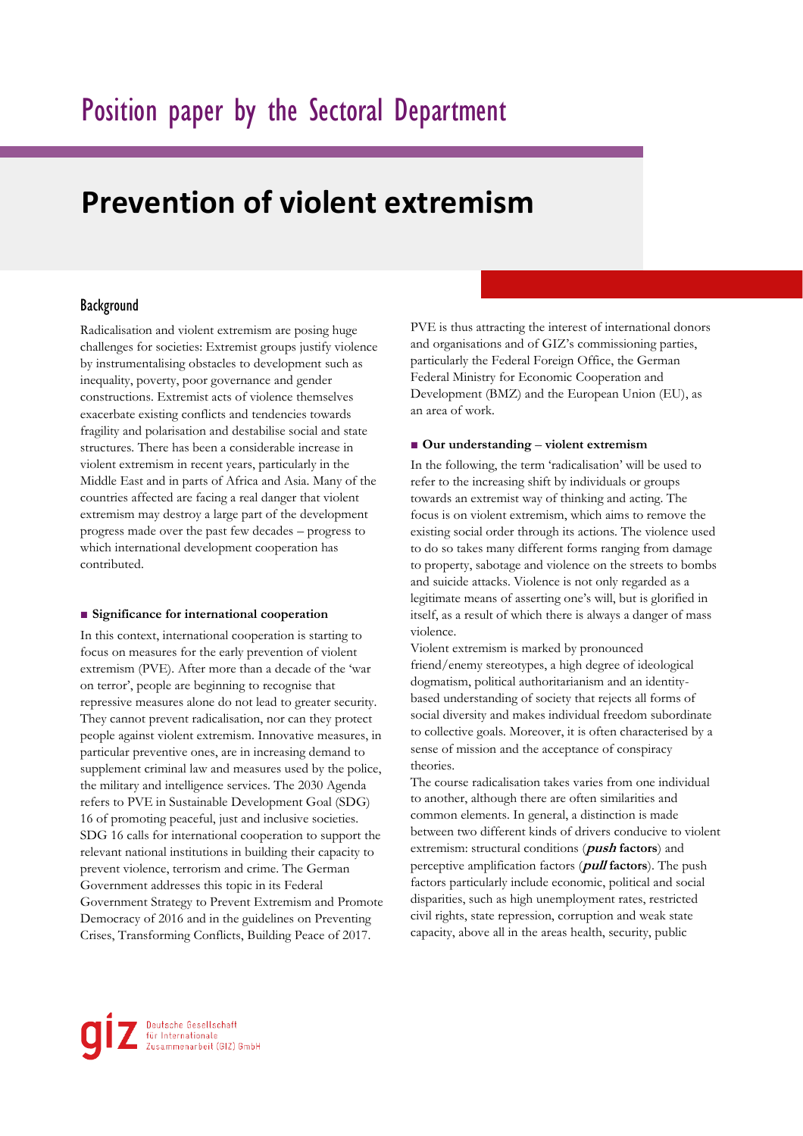# **Prevention of violent extremism**

# Background

Radicalisation and violent extremism are posing huge challenges for societies: Extremist groups justify violence by instrumentalising obstacles to development such as inequality, poverty, poor governance and gender constructions. Extremist acts of violence themselves exacerbate existing conflicts and tendencies towards fragility and polarisation and destabilise social and state structures. There has been a considerable increase in violent extremism in recent years, particularly in the Middle East and in parts of Africa and Asia. Many of the countries affected are facing a real danger that violent extremism may destroy a large part of the development progress made over the past few decades – progress to which international development cooperation has contributed.

#### ■ Significance for international cooperation

In this context, international cooperation is starting to focus on measures for the early prevention of violent extremism (PVE). After more than a decade of the 'war on terror', people are beginning to recognise that repressive measures alone do not lead to greater security. They cannot prevent radicalisation, nor can they protect people against violent extremism. Innovative measures, in particular preventive ones, are in increasing demand to supplement criminal law and measures used by the police, the military and intelligence services. The 2030 Agenda refers to PVE in Sustainable Development Goal (SDG) 16 of promoting peaceful, just and inclusive societies. SDG 16 calls for international cooperation to support the relevant national institutions in building their capacity to prevent violence, terrorism and crime. The German Government addresses this topic in its Federal Government Strategy to Prevent Extremism and Promote Democracy of 2016 and in the guidelines on Preventing Crises, Transforming Conflicts, Building Peace of 2017.

PVE is thus attracting the interest of international donors and organisations and of GIZ's commissioning parties, particularly the Federal Foreign Office, the German Federal Ministry for Economic Cooperation and Development (BMZ) and the European Union (EU), as an area of work.

#### ■ **Our understanding** – **violent extremism**

In the following, the term 'radicalisation' will be used to refer to the increasing shift by individuals or groups towards an extremist way of thinking and acting. The focus is on violent extremism, which aims to remove the existing social order through its actions. The violence used to do so takes many different forms ranging from damage to property, sabotage and violence on the streets to bombs and suicide attacks. Violence is not only regarded as a legitimate means of asserting one's will, but is glorified in itself, as a result of which there is always a danger of mass violence.

Violent extremism is marked by pronounced friend/enemy stereotypes, a high degree of ideological dogmatism, political authoritarianism and an identitybased understanding of society that rejects all forms of social diversity and makes individual freedom subordinate to collective goals. Moreover, it is often characterised by a sense of mission and the acceptance of conspiracy theories.

The course radicalisation takes varies from one individual to another, although there are often similarities and common elements. In general, a distinction is made between two different kinds of drivers conducive to violent extremism: structural conditions (**push factors**) and perceptive amplification factors (**pull factors**). The push factors particularly include economic, political and social disparities, such as high unemployment rates, restricted civil rights, state repression, corruption and weak state capacity, above all in the areas health, security, public

Deutsche Gesellschaft<br>für Internationale<br>Zusammenarbeit (GIZ) GmbH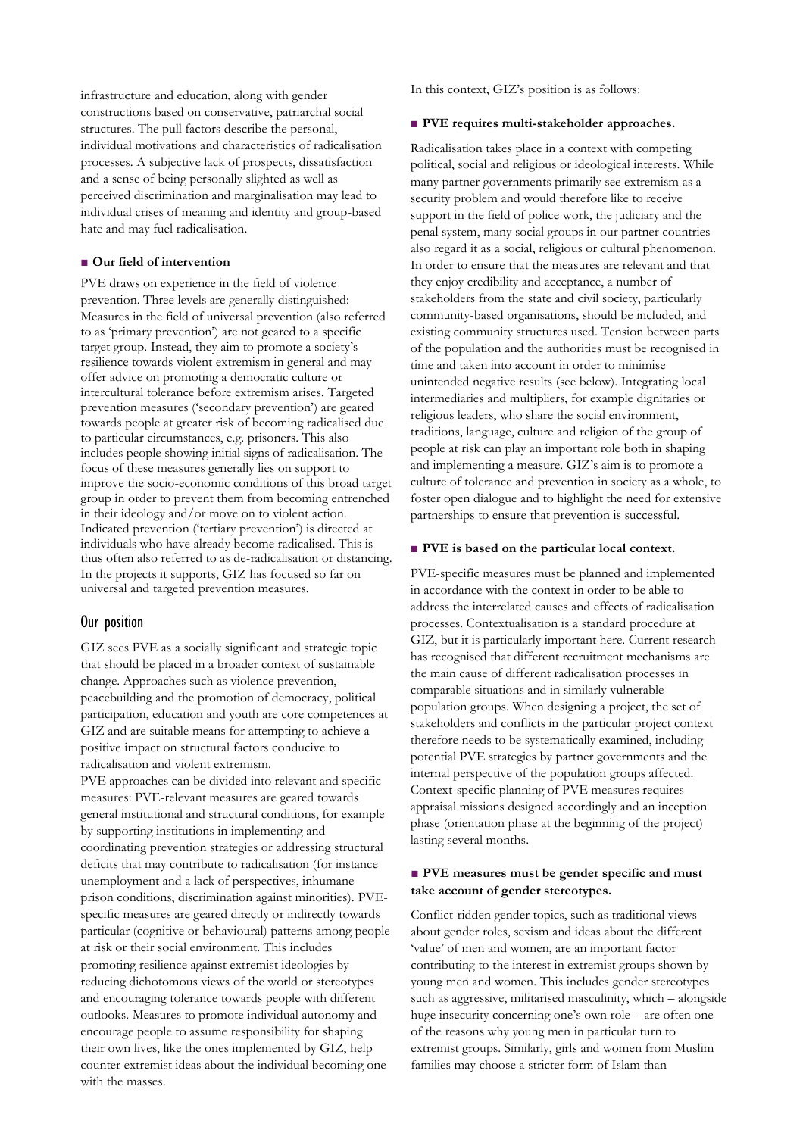infrastructure and education, along with gender constructions based on conservative, patriarchal social structures. The pull factors describe the personal, individual motivations and characteristics of radicalisation processes. A subjective lack of prospects, dissatisfaction and a sense of being personally slighted as well as perceived discrimination and marginalisation may lead to individual crises of meaning and identity and group-based hate and may fuel radicalisation.

## ■ **Our field of intervention**

PVE draws on experience in the field of violence prevention. Three levels are generally distinguished: Measures in the field of universal prevention (also referred to as 'primary prevention') are not geared to a specific target group. Instead, they aim to promote a society's resilience towards violent extremism in general and may offer advice on promoting a democratic culture or intercultural tolerance before extremism arises. Targeted prevention measures ('secondary prevention') are geared towards people at greater risk of becoming radicalised due to particular circumstances, e.g. prisoners. This also includes people showing initial signs of radicalisation. The focus of these measures generally lies on support to improve the socio-economic conditions of this broad target group in order to prevent them from becoming entrenched in their ideology and/or move on to violent action. Indicated prevention ('tertiary prevention') is directed at individuals who have already become radicalised. This is thus often also referred to as de-radicalisation or distancing. In the projects it supports, GIZ has focused so far on universal and targeted prevention measures.

## Our position

GIZ sees PVE as a socially significant and strategic topic that should be placed in a broader context of sustainable change. Approaches such as violence prevention, peacebuilding and the promotion of democracy, political participation, education and youth are core competences at GIZ and are suitable means for attempting to achieve a positive impact on structural factors conducive to radicalisation and violent extremism.

PVE approaches can be divided into relevant and specific measures: PVE-relevant measures are geared towards general institutional and structural conditions, for example by supporting institutions in implementing and coordinating prevention strategies or addressing structural deficits that may contribute to radicalisation (for instance unemployment and a lack of perspectives, inhumane prison conditions, discrimination against minorities). PVEspecific measures are geared directly or indirectly towards particular (cognitive or behavioural) patterns among people at risk or their social environment. This includes promoting resilience against extremist ideologies by reducing dichotomous views of the world or stereotypes and encouraging tolerance towards people with different outlooks. Measures to promote individual autonomy and encourage people to assume responsibility for shaping their own lives, like the ones implemented by GIZ, help counter extremist ideas about the individual becoming one with the masses.

In this context, GIZ's position is as follows:

#### ■ **PVE** requires multi-stakeholder approaches.

Radicalisation takes place in a context with competing political, social and religious or ideological interests. While many partner governments primarily see extremism as a security problem and would therefore like to receive support in the field of police work, the judiciary and the penal system, many social groups in our partner countries also regard it as a social, religious or cultural phenomenon. In order to ensure that the measures are relevant and that they enjoy credibility and acceptance, a number of stakeholders from the state and civil society, particularly community-based organisations, should be included, and existing community structures used. Tension between parts of the population and the authorities must be recognised in time and taken into account in order to minimise unintended negative results (see below). Integrating local intermediaries and multipliers, for example dignitaries or religious leaders, who share the social environment, traditions, language, culture and religion of the group of people at risk can play an important role both in shaping and implementing a measure. GIZ's aim is to promote a culture of tolerance and prevention in society as a whole, to foster open dialogue and to highlight the need for extensive partnerships to ensure that prevention is successful.

#### ■ **PVE is based on the particular local context.**

PVE-specific measures must be planned and implemented in accordance with the context in order to be able to address the interrelated causes and effects of radicalisation processes. Contextualisation is a standard procedure at GIZ, but it is particularly important here. Current research has recognised that different recruitment mechanisms are the main cause of different radicalisation processes in comparable situations and in similarly vulnerable population groups. When designing a project, the set of stakeholders and conflicts in the particular project context therefore needs to be systematically examined, including potential PVE strategies by partner governments and the internal perspective of the population groups affected. Context-specific planning of PVE measures requires appraisal missions designed accordingly and an inception phase (orientation phase at the beginning of the project) lasting several months.

## ■ **PVE** measures must be gender specific and must **take account of gender stereotypes.**

Conflict-ridden gender topics, such as traditional views about gender roles, sexism and ideas about the different 'value' of men and women, are an important factor contributing to the interest in extremist groups shown by young men and women. This includes gender stereotypes such as aggressive, militarised masculinity, which – alongside huge insecurity concerning one's own role – are often one of the reasons why young men in particular turn to extremist groups. Similarly, girls and women from Muslim families may choose a stricter form of Islam than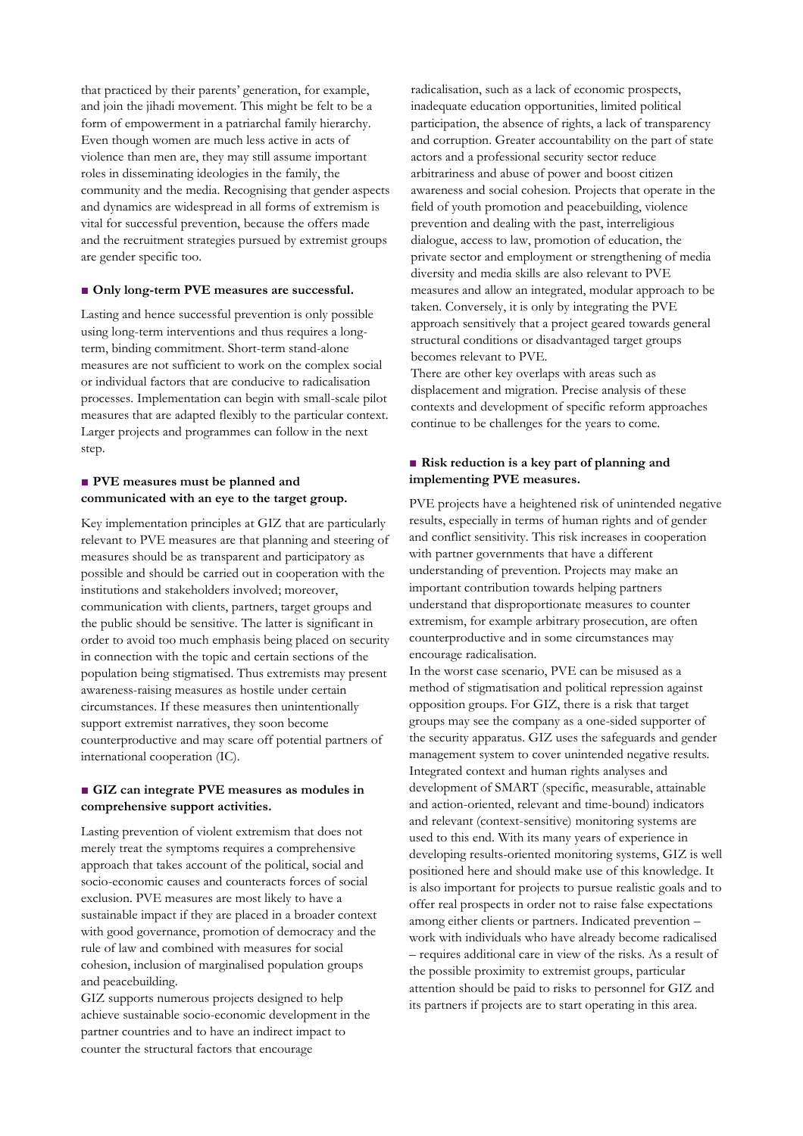that practiced by their parents' generation, for example, and join the jihadi movement. This might be felt to be a form of empowerment in a patriarchal family hierarchy. Even though women are much less active in acts of violence than men are, they may still assume important roles in disseminating ideologies in the family, the community and the media. Recognising that gender aspects and dynamics are widespread in all forms of extremism is vital for successful prevention, because the offers made and the recruitment strategies pursued by extremist groups are gender specific too.

#### ■ Only long-term PVE measures are successful.

Lasting and hence successful prevention is only possible using long-term interventions and thus requires a longterm, binding commitment. Short-term stand-alone measures are not sufficient to work on the complex social or individual factors that are conducive to radicalisation processes. Implementation can begin with small-scale pilot measures that are adapted flexibly to the particular context. Larger projects and programmes can follow in the next step.

## **■ PVE measures must be planned and communicated with an eye to the target group.**

Key implementation principles at GIZ that are particularly relevant to PVE measures are that planning and steering of measures should be as transparent and participatory as possible and should be carried out in cooperation with the institutions and stakeholders involved; moreover, communication with clients, partners, target groups and the public should be sensitive. The latter is significant in order to avoid too much emphasis being placed on security in connection with the topic and certain sections of the population being stigmatised. Thus extremists may present awareness-raising measures as hostile under certain circumstances. If these measures then unintentionally support extremist narratives, they soon become counterproductive and may scare off potential partners of international cooperation (IC).

## ■ **GIZ can integrate PVE measures as modules in comprehensive support activities.**

Lasting prevention of violent extremism that does not merely treat the symptoms requires a comprehensive approach that takes account of the political, social and socio-economic causes and counteracts forces of social exclusion. PVE measures are most likely to have a sustainable impact if they are placed in a broader context with good governance, promotion of democracy and the rule of law and combined with measures for social cohesion, inclusion of marginalised population groups and peacebuilding.

GIZ supports numerous projects designed to help achieve sustainable socio-economic development in the partner countries and to have an indirect impact to counter the structural factors that encourage

radicalisation, such as a lack of economic prospects, inadequate education opportunities, limited political participation, the absence of rights, a lack of transparency and corruption. Greater accountability on the part of state actors and a professional security sector reduce arbitrariness and abuse of power and boost citizen awareness and social cohesion. Projects that operate in the field of youth promotion and peacebuilding, violence prevention and dealing with the past, interreligious dialogue, access to law, promotion of education, the private sector and employment or strengthening of media diversity and media skills are also relevant to PVE measures and allow an integrated, modular approach to be taken. Conversely, it is only by integrating the PVE approach sensitively that a project geared towards general structural conditions or disadvantaged target groups becomes relevant to PVE.

There are other key overlaps with areas such as displacement and migration. Precise analysis of these contexts and development of specific reform approaches continue to be challenges for the years to come.

## ■ **Risk reduction is a key part of planning and implementing PVE measures.**

PVE projects have a heightened risk of unintended negative results, especially in terms of human rights and of gender and conflict sensitivity. This risk increases in cooperation with partner governments that have a different understanding of prevention. Projects may make an important contribution towards helping partners understand that disproportionate measures to counter extremism, for example arbitrary prosecution, are often counterproductive and in some circumstances may encourage radicalisation.

In the worst case scenario, PVE can be misused as a method of stigmatisation and political repression against opposition groups. For GIZ, there is a risk that target groups may see the company as a one-sided supporter of the security apparatus. GIZ uses the safeguards and gender management system to cover unintended negative results. Integrated context and human rights analyses and development of SMART (specific, measurable, attainable and action-oriented, relevant and time-bound) indicators and relevant (context-sensitive) monitoring systems are used to this end. With its many years of experience in developing results-oriented monitoring systems, GIZ is well positioned here and should make use of this knowledge. It is also important for projects to pursue realistic goals and to offer real prospects in order not to raise false expectations among either clients or partners. Indicated prevention – work with individuals who have already become radicalised – requires additional care in view of the risks. As a result of the possible proximity to extremist groups, particular attention should be paid to risks to personnel for GIZ and its partners if projects are to start operating in this area.